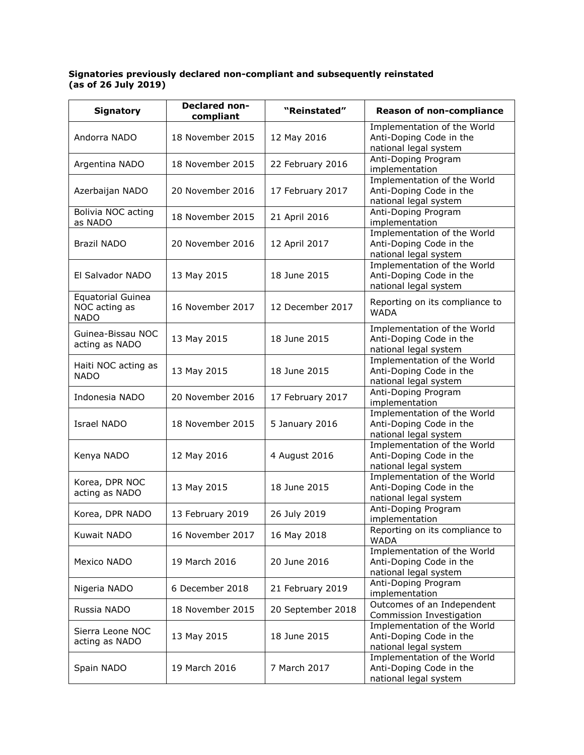## **Signatories previously declared non-compliant and subsequently reinstated (as of 26 July 2019)**

| <b>Signatory</b>                                         | <b>Declared non-</b><br>compliant | "Reinstated"      | <b>Reason of non-compliance</b>                                                 |
|----------------------------------------------------------|-----------------------------------|-------------------|---------------------------------------------------------------------------------|
| Andorra NADO                                             | 18 November 2015                  | 12 May 2016       | Implementation of the World<br>Anti-Doping Code in the<br>national legal system |
| Argentina NADO                                           | 18 November 2015                  | 22 February 2016  | Anti-Doping Program<br>implementation                                           |
| Azerbaijan NADO                                          | 20 November 2016                  | 17 February 2017  | Implementation of the World<br>Anti-Doping Code in the<br>national legal system |
| Bolivia NOC acting<br>as NADO                            | 18 November 2015                  | 21 April 2016     | Anti-Doping Program<br>implementation                                           |
| <b>Brazil NADO</b>                                       | 20 November 2016                  | 12 April 2017     | Implementation of the World<br>Anti-Doping Code in the<br>national legal system |
| El Salvador NADO                                         | 13 May 2015                       | 18 June 2015      | Implementation of the World<br>Anti-Doping Code in the<br>national legal system |
| <b>Equatorial Guinea</b><br>NOC acting as<br><b>NADO</b> | 16 November 2017                  | 12 December 2017  | Reporting on its compliance to<br><b>WADA</b>                                   |
| Guinea-Bissau NOC<br>acting as NADO                      | 13 May 2015                       | 18 June 2015      | Implementation of the World<br>Anti-Doping Code in the<br>national legal system |
| Haiti NOC acting as<br><b>NADO</b>                       | 13 May 2015                       | 18 June 2015      | Implementation of the World<br>Anti-Doping Code in the<br>national legal system |
| Indonesia NADO                                           | 20 November 2016                  | 17 February 2017  | Anti-Doping Program<br>implementation                                           |
| Israel NADO                                              | 18 November 2015                  | 5 January 2016    | Implementation of the World<br>Anti-Doping Code in the<br>national legal system |
| Kenya NADO                                               | 12 May 2016                       | 4 August 2016     | Implementation of the World<br>Anti-Doping Code in the<br>national legal system |
| Korea, DPR NOC<br>acting as NADO                         | 13 May 2015                       | 18 June 2015      | Implementation of the World<br>Anti-Doping Code in the<br>national legal system |
| Korea, DPR NADO                                          | 13 February 2019                  | 26 July 2019      | Anti-Doping Program<br>implementation                                           |
| Kuwait NADO                                              | 16 November 2017                  | 16 May 2018       | Reporting on its compliance to<br><b>WADA</b>                                   |
| Mexico NADO                                              | 19 March 2016                     | 20 June 2016      | Implementation of the World<br>Anti-Doping Code in the<br>national legal system |
| Nigeria NADO                                             | 6 December 2018                   | 21 February 2019  | Anti-Doping Program<br>implementation                                           |
| Russia NADO                                              | 18 November 2015                  | 20 September 2018 | Outcomes of an Independent<br>Commission Investigation                          |
| Sierra Leone NOC<br>acting as NADO                       | 13 May 2015                       | 18 June 2015      | Implementation of the World<br>Anti-Doping Code in the<br>national legal system |
| Spain NADO                                               | 19 March 2016                     | 7 March 2017      | Implementation of the World<br>Anti-Doping Code in the<br>national legal system |